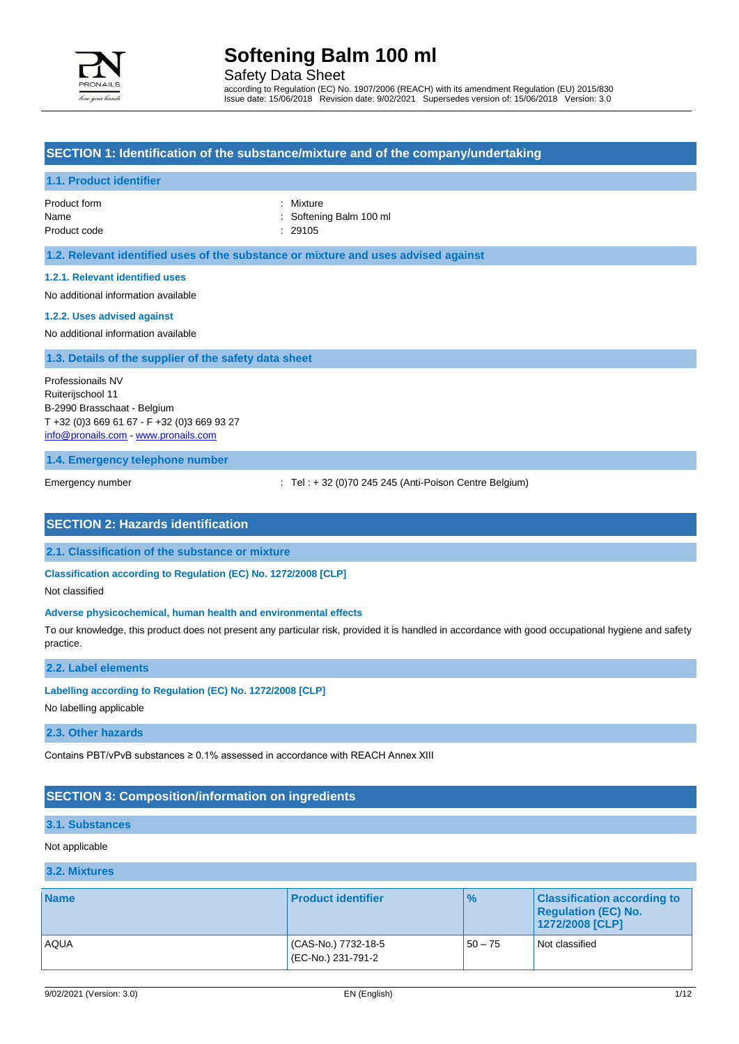

Safety Data Sheet

according to Regulation (EC) No. 1907/2006 (REACH) with its amendment Regulation (EU) 2015/830 Issue date: 15/06/2018 Revision date: 9/02/2021 Supersedes version of: 15/06/2018 Version: 3.0

### **SECTION 1: Identification of the substance/mixture and of the company/undertaking**

#### **1.1. Product identifier**

#### Product form **: Mixture** : Mixture Name : Softening Balm 100 ml Product code : 29105

#### **1.2. Relevant identified uses of the substance or mixture and uses advised against**

#### **1.2.1. Relevant identified uses**

No additional information available

#### **1.2.2. Uses advised against**

No additional information available

#### **1.3. Details of the supplier of the safety data sheet**

Professionails NV Ruiterijschool 11 B-2990 Brasschaat - Belgium T +32 (0)3 669 61 67 - F +32 (0)3 669 93 27 [info@pronails.com](mailto:info@pronails.com) - <www.pronails.com>

**1.4. Emergency telephone number**

Emergency number : Tel : + 32 (0)70 245 245 (Anti-Poison Centre Belgium)

### **SECTION 2: Hazards identification**

**2.1. Classification of the substance or mixture**

**Classification according to Regulation (EC) No. 1272/2008 [CLP]**

Not classified

#### **Adverse physicochemical, human health and environmental effects**

To our knowledge, this product does not present any particular risk, provided it is handled in accordance with good occupational hygiene and safety practice.

#### **2.2. Label elements**

#### **Labelling according to Regulation (EC) No. 1272/2008 [CLP]**

No labelling applicable

#### **2.3. Other hazards**

Contains PBT/vPvB substances  $\geq 0.1\%$  assessed in accordance with REACH Annex XIII

#### **SECTION 3: Composition/information on ingredients**

#### **3.1. Substances**

#### Not applicable

#### **3.2. Mixtures**

| <b>Name</b> | <b>Product identifier</b>                | $\frac{1}{2}$ | <b>Classification according to</b><br><b>Requiation (EC) No.</b><br>1272/2008 [CLP] |
|-------------|------------------------------------------|---------------|-------------------------------------------------------------------------------------|
| <b>AQUA</b> | CAS-No.) 7732-18-5<br>(EC-No.) 231-791-2 | $50 - 75$     | Not classified                                                                      |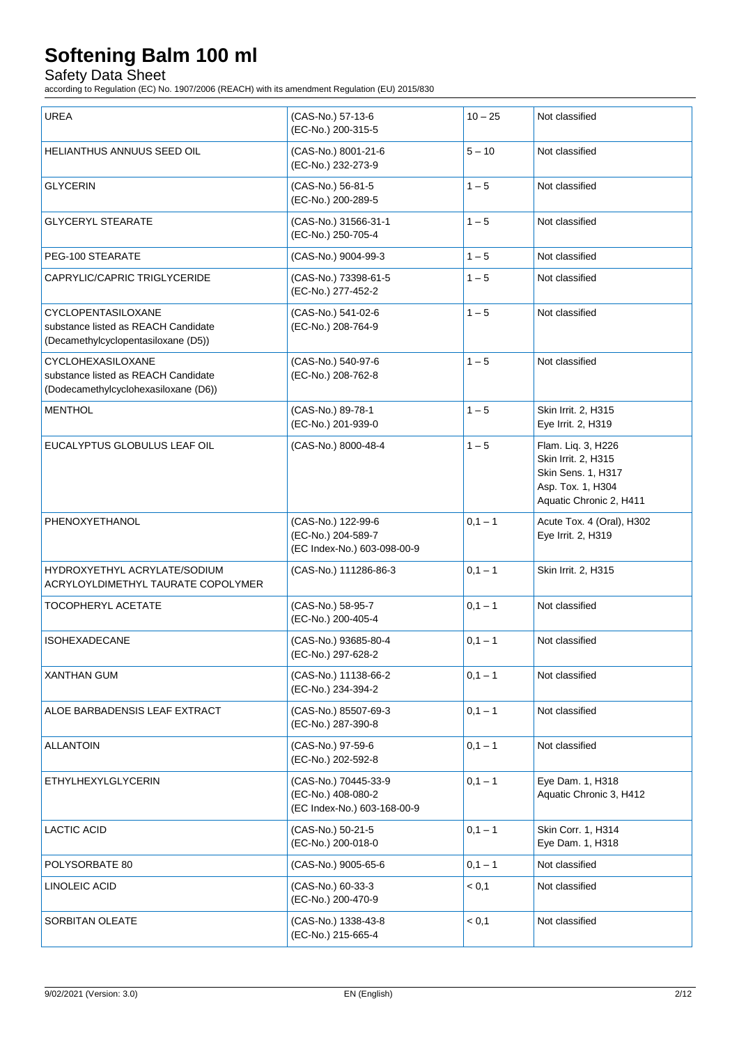Safety Data Sheet

according to Regulation (EC) No. 1907/2006 (REACH) with its amendment Regulation (EU) 2015/830

| <b>UREA</b>                                                                                      | (CAS-No.) 57-13-6<br>(EC-No.) 200-315-5                                   | $10 - 25$ | Not classified                                                                                                  |
|--------------------------------------------------------------------------------------------------|---------------------------------------------------------------------------|-----------|-----------------------------------------------------------------------------------------------------------------|
| HELIANTHUS ANNUUS SEED OIL                                                                       | (CAS-No.) 8001-21-6<br>(EC-No.) 232-273-9                                 | $5 - 10$  | Not classified                                                                                                  |
| <b>GLYCERIN</b>                                                                                  | (CAS-No.) 56-81-5<br>(EC-No.) 200-289-5                                   | $1 - 5$   | Not classified                                                                                                  |
| <b>GLYCERYL STEARATE</b>                                                                         | (CAS-No.) 31566-31-1<br>(EC-No.) 250-705-4                                | $1 - 5$   | Not classified                                                                                                  |
| PEG-100 STEARATE                                                                                 | (CAS-No.) 9004-99-3                                                       | $1 - 5$   | Not classified                                                                                                  |
| CAPRYLIC/CAPRIC TRIGLYCERIDE                                                                     | (CAS-No.) 73398-61-5<br>(EC-No.) 277-452-2                                | $1 - 5$   | Not classified                                                                                                  |
| CYCLOPENTASILOXANE<br>substance listed as REACH Candidate<br>(Decamethylcyclopentasiloxane (D5)) | (CAS-No.) 541-02-6<br>(EC-No.) 208-764-9                                  | $1 - 5$   | Not classified                                                                                                  |
| CYCLOHEXASILOXANE<br>substance listed as REACH Candidate<br>(Dodecamethylcyclohexasiloxane (D6)) | (CAS-No.) 540-97-6<br>(EC-No.) 208-762-8                                  | $1 - 5$   | Not classified                                                                                                  |
| <b>MENTHOL</b>                                                                                   | (CAS-No.) 89-78-1<br>(EC-No.) 201-939-0                                   | $1 - 5$   | Skin Irrit. 2, H315<br>Eye Irrit. 2, H319                                                                       |
| EUCALYPTUS GLOBULUS LEAF OIL                                                                     | (CAS-No.) 8000-48-4                                                       | $1 - 5$   | Flam. Liq. 3, H226<br>Skin Irrit. 2, H315<br>Skin Sens. 1, H317<br>Asp. Tox. 1, H304<br>Aquatic Chronic 2, H411 |
| PHENOXYETHANOL                                                                                   | (CAS-No.) 122-99-6<br>(EC-No.) 204-589-7<br>(EC Index-No.) 603-098-00-9   | $0,1 - 1$ | Acute Tox. 4 (Oral), H302<br>Eye Irrit. 2, H319                                                                 |
| HYDROXYETHYL ACRYLATE/SODIUM<br>ACRYLOYLDIMETHYL TAURATE COPOLYMER                               | (CAS-No.) 111286-86-3                                                     | $0,1 - 1$ | Skin Irrit. 2, H315                                                                                             |
| <b>TOCOPHERYL ACETATE</b>                                                                        | (CAS-No.) 58-95-7<br>(EC-No.) 200-405-4                                   | $0,1 - 1$ | Not classified                                                                                                  |
| <b>ISOHEXADECANE</b>                                                                             | (CAS-No.) 93685-80-4<br>(EC-No.) 297-628-2                                | $0,1 - 1$ | Not classified                                                                                                  |
| <b>XANTHAN GUM</b>                                                                               | (CAS-No.) 11138-66-2<br>(EC-No.) 234-394-2                                | $0,1 - 1$ | Not classified                                                                                                  |
| ALOE BARBADENSIS LEAF EXTRACT                                                                    | (CAS-No.) 85507-69-3<br>(EC-No.) 287-390-8                                | $0,1 - 1$ | Not classified                                                                                                  |
| <b>ALLANTOIN</b>                                                                                 | (CAS-No.) 97-59-6<br>(EC-No.) 202-592-8                                   | $0,1 - 1$ | Not classified                                                                                                  |
| ETHYLHEXYLGLYCERIN                                                                               | (CAS-No.) 70445-33-9<br>(EC-No.) 408-080-2<br>(EC Index-No.) 603-168-00-9 | $0,1 - 1$ | Eye Dam. 1, H318<br>Aquatic Chronic 3, H412                                                                     |
| <b>LACTIC ACID</b>                                                                               | (CAS-No.) 50-21-5<br>(EC-No.) 200-018-0                                   | $0,1 - 1$ | Skin Corr. 1, H314<br>Eye Dam. 1, H318                                                                          |
| POLYSORBATE 80                                                                                   | (CAS-No.) 9005-65-6                                                       | $0,1 - 1$ | Not classified                                                                                                  |
| LINOLEIC ACID                                                                                    | (CAS-No.) 60-33-3<br>(EC-No.) 200-470-9                                   | < 0,1     | Not classified                                                                                                  |
| SORBITAN OLEATE                                                                                  | (CAS-No.) 1338-43-8<br>(EC-No.) 215-665-4                                 | < 0,1     | Not classified                                                                                                  |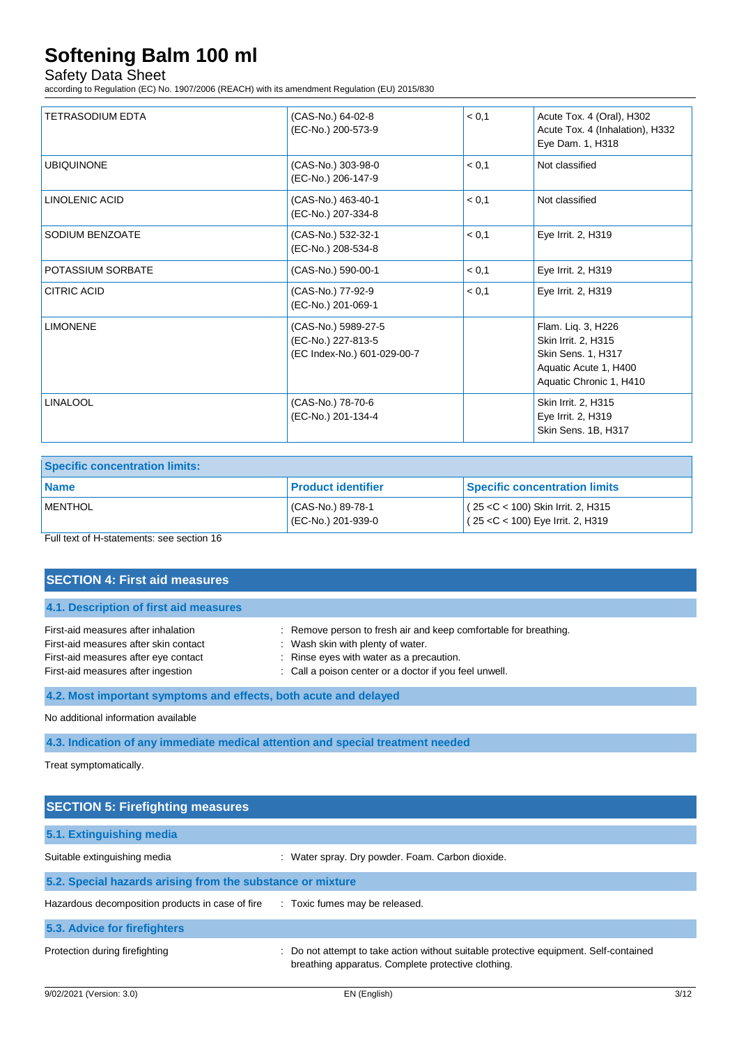# Safety Data Sheet

according to Regulation (EC) No. 1907/2006 (REACH) with its amendment Regulation (EU) 2015/830

| TETRASODIUM EDTA   | (CAS-No.) 64-02-8<br>(EC-No.) 200-573-9                                  | < 0,1 | Acute Tox. 4 (Oral), H302<br>Acute Tox. 4 (Inhalation), H332<br>Eye Dam. 1, H318                                    |
|--------------------|--------------------------------------------------------------------------|-------|---------------------------------------------------------------------------------------------------------------------|
| <b>UBIQUINONE</b>  | (CAS-No.) 303-98-0<br>(EC-No.) 206-147-9                                 | < 0.1 | Not classified                                                                                                      |
| LINOLENIC ACID     | (CAS-No.) 463-40-1<br>(EC-No.) 207-334-8                                 | < 0.1 | Not classified                                                                                                      |
| SODIUM BENZOATE    | (CAS-No.) 532-32-1<br>(EC-No.) 208-534-8                                 | < 0.1 | Eye Irrit. 2, H319                                                                                                  |
| POTASSIUM SORBATE  | (CAS-No.) 590-00-1                                                       | < 0,1 | Eye Irrit. 2, H319                                                                                                  |
| <b>CITRIC ACID</b> | (CAS-No.) 77-92-9<br>(EC-No.) 201-069-1                                  | < 0.1 | Eye Irrit. 2, H319                                                                                                  |
| <b>LIMONENE</b>    | (CAS-No.) 5989-27-5<br>(EC-No.) 227-813-5<br>(EC Index-No.) 601-029-00-7 |       | Flam. Lig. 3, H226<br>Skin Irrit. 2, H315<br>Skin Sens. 1, H317<br>Aquatic Acute 1, H400<br>Aquatic Chronic 1, H410 |
| <b>LINALOOL</b>    | (CAS-No.) 78-70-6<br>(EC-No.) 201-134-4                                  |       | Skin Irrit. 2, H315<br>Eye Irrit. 2, H319<br>Skin Sens. 1B, H317                                                    |

| <b>Specific concentration limits:</b> |                                         |                                                                             |
|---------------------------------------|-----------------------------------------|-----------------------------------------------------------------------------|
| <b>Name</b>                           | <b>Product identifier</b>               | <b>Specific concentration limits</b>                                        |
| MENTHOL                               | (CAS-No.) 89-78-1<br>(EC-No.) 201-939-0 | $(25 < C < 100)$ Skin Irrit. 2, H315<br>$(25 < C < 100)$ Eye Irrit. 2, H319 |

Full text of H-statements: see section 16

| <b>SECTION 4: First aid measures</b>                                                                                                                       |                                                                                                                                                                                                             |
|------------------------------------------------------------------------------------------------------------------------------------------------------------|-------------------------------------------------------------------------------------------------------------------------------------------------------------------------------------------------------------|
| 4.1. Description of first aid measures                                                                                                                     |                                                                                                                                                                                                             |
| First-aid measures after inhalation<br>First-aid measures after skin contact<br>First-aid measures after eye contact<br>First-aid measures after ingestion | : Remove person to fresh air and keep comfortable for breathing.<br>: Wash skin with plenty of water.<br>: Rinse eyes with water as a precaution.<br>: Call a poison center or a doctor if you feel unwell. |
| 4.2. Most important symptoms and effects, both acute and delayed                                                                                           |                                                                                                                                                                                                             |

No additional information available

**4.3. Indication of any immediate medical attention and special treatment needed**

Treat symptomatically.

| <b>SECTION 5: Firefighting measures</b>                    |                                                                                                                                             |
|------------------------------------------------------------|---------------------------------------------------------------------------------------------------------------------------------------------|
| 5.1. Extinguishing media                                   |                                                                                                                                             |
| Suitable extinguishing media                               | : Water spray. Dry powder. Foam. Carbon dioxide.                                                                                            |
| 5.2. Special hazards arising from the substance or mixture |                                                                                                                                             |
| Hazardous decomposition products in case of fire           | : Toxic fumes may be released.                                                                                                              |
| 5.3. Advice for firefighters                               |                                                                                                                                             |
| Protection during firefighting                             | : Do not attempt to take action without suitable protective equipment. Self-contained<br>breathing apparatus. Complete protective clothing. |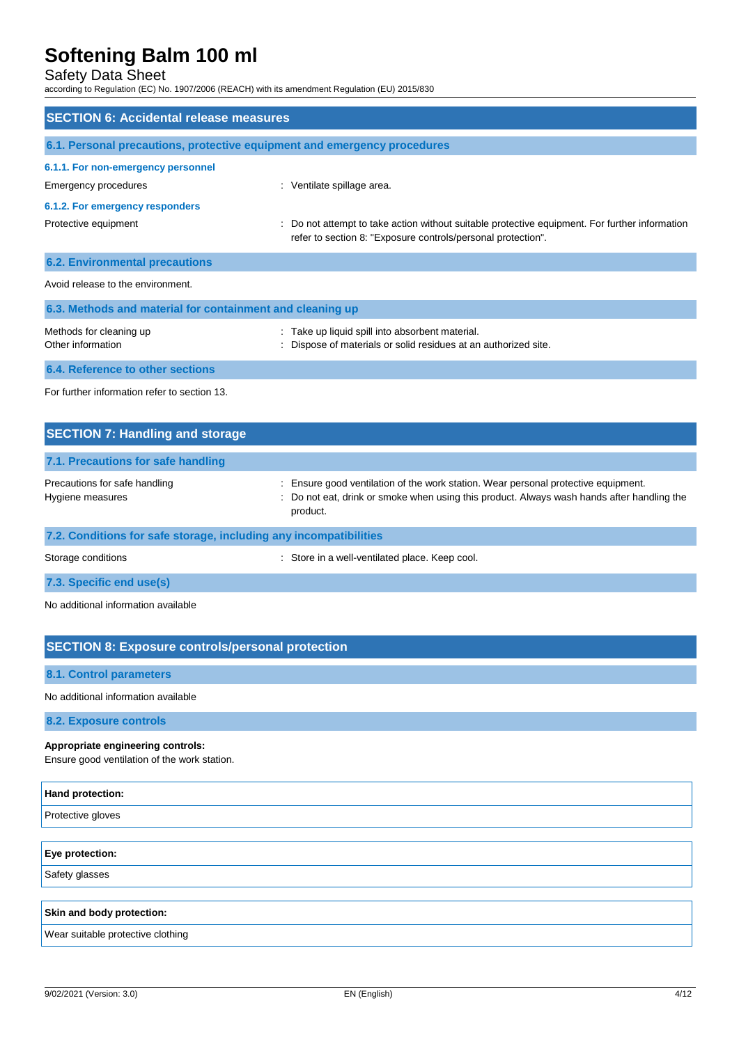# Safety Data Sheet

according to Regulation (EC) No. 1907/2006 (REACH) with its amendment Regulation (EU) 2015/830

| <b>SECTION 6: Accidental release measures</b>                            |                                                                                                                                                                                          |
|--------------------------------------------------------------------------|------------------------------------------------------------------------------------------------------------------------------------------------------------------------------------------|
| 6.1. Personal precautions, protective equipment and emergency procedures |                                                                                                                                                                                          |
| 6.1.1. For non-emergency personnel                                       |                                                                                                                                                                                          |
| <b>Emergency procedures</b>                                              | Ventilate spillage area.                                                                                                                                                                 |
| 6.1.2. For emergency responders                                          |                                                                                                                                                                                          |
| Protective equipment                                                     | Do not attempt to take action without suitable protective equipment. For further information<br>refer to section 8: "Exposure controls/personal protection".                             |
| <b>6.2. Environmental precautions</b>                                    |                                                                                                                                                                                          |
| Avoid release to the environment.                                        |                                                                                                                                                                                          |
| 6.3. Methods and material for containment and cleaning up                |                                                                                                                                                                                          |
| Methods for cleaning up<br>Other information                             | : Take up liquid spill into absorbent material.<br>Dispose of materials or solid residues at an authorized site.                                                                         |
| <b>6.4. Reference to other sections</b>                                  |                                                                                                                                                                                          |
| For further information refer to section 13.                             |                                                                                                                                                                                          |
| <b>SECTION 7: Handling and storage</b>                                   |                                                                                                                                                                                          |
| 7.1. Precautions for safe handling                                       |                                                                                                                                                                                          |
| Precautions for safe handling<br>Hygiene measures                        | Ensure good ventilation of the work station. Wear personal protective equipment.<br>Do not eat, drink or smoke when using this product. Always wash hands after handling the<br>product. |
| 7.2. Conditions for safe storage, including any incompatibilities        |                                                                                                                                                                                          |
|                                                                          |                                                                                                                                                                                          |

Storage conditions **Storage conditions** : Store in a well-ventilated place. Keep cool.

**7.3. Specific end use(s)**

No additional information available

# **SECTION 8: Exposure controls/personal protection**

**8.1. Control parameters**

No additional information available

**8.2. Exposure controls**

#### **Appropriate engineering controls:**

Ensure good ventilation of the work station.

| Hand protection:                  |  |
|-----------------------------------|--|
| Protective gloves                 |  |
|                                   |  |
| Eye protection:                   |  |
| Safety glasses                    |  |
|                                   |  |
| Skin and body protection:         |  |
| Wear suitable protective clothing |  |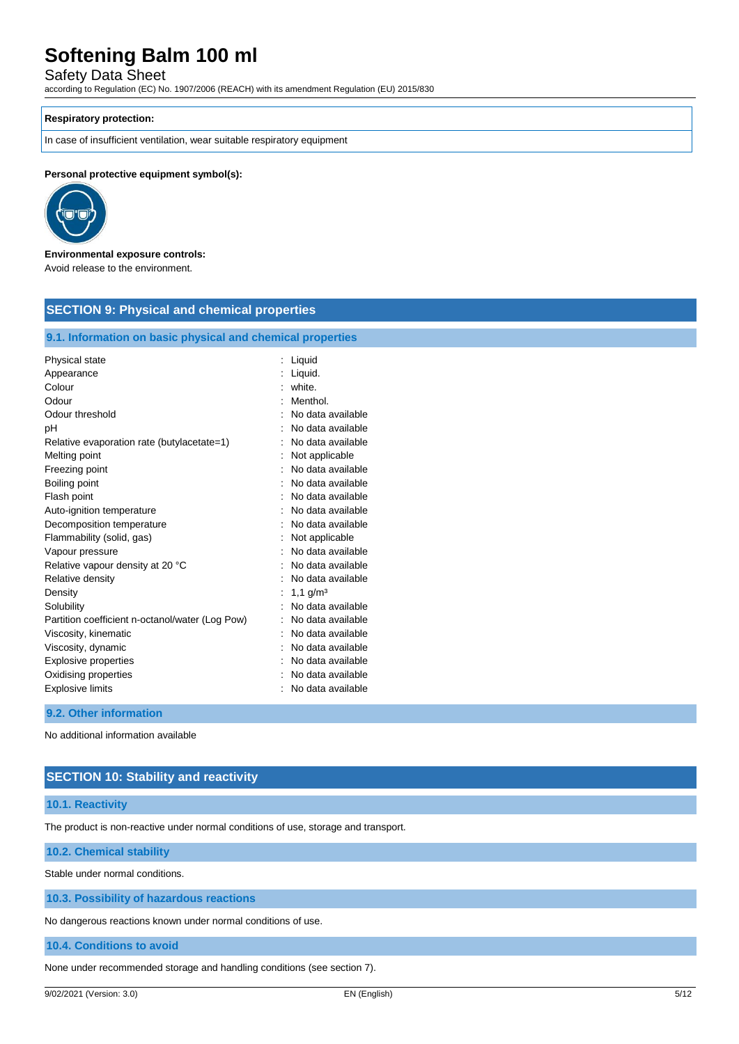Safety Data Sheet

according to Regulation (EC) No. 1907/2006 (REACH) with its amendment Regulation (EU) 2015/830

### **Respiratory protection:**

In case of insufficient ventilation, wear suitable respiratory equipment

**SECTION 9: Physical and chemical properties**

#### **Personal protective equipment symbol(s):**



#### **Environmental exposure controls:** Avoid release to the environment.

| Physical state                                  | : Liquid          |
|-------------------------------------------------|-------------------|
| Appearance                                      | Liquid.           |
| Colour                                          | : white.          |
| Odour                                           | Menthol.          |
| Odour threshold                                 | No data available |
| pH                                              | No data available |
| Relative evaporation rate (butylacetate=1)      | No data available |
| Melting point                                   | Not applicable    |
| Freezing point                                  | No data available |
| Boiling point                                   | No data available |
| Flash point                                     | No data available |
| Auto-ignition temperature                       | No data available |
| Decomposition temperature                       | No data available |
| Flammability (solid, gas)                       | Not applicable    |
| Vapour pressure                                 | No data available |
| Relative vapour density at 20 °C                | No data available |
| Relative density                                | No data available |
| Density                                         | 1,1 $g/m3$        |
| Solubility                                      | No data available |
| Partition coefficient n-octanol/water (Log Pow) | No data available |
| Viscosity, kinematic                            | No data available |
| Viscosity, dynamic                              | No data available |
| <b>Explosive properties</b>                     | No data available |
| Oxidising properties                            | No data available |
| <b>Explosive limits</b>                         | No data available |

#### **9.2. Other information**

No additional information available

### **SECTION 10: Stability and reactivity**

#### **10.1. Reactivity**

The product is non-reactive under normal conditions of use, storage and transport.

### **10.2. Chemical stability**

Stable under normal conditions.

### **10.3. Possibility of hazardous reactions**

No dangerous reactions known under normal conditions of use.

#### **10.4. Conditions to avoid**

None under recommended storage and handling conditions (see section 7).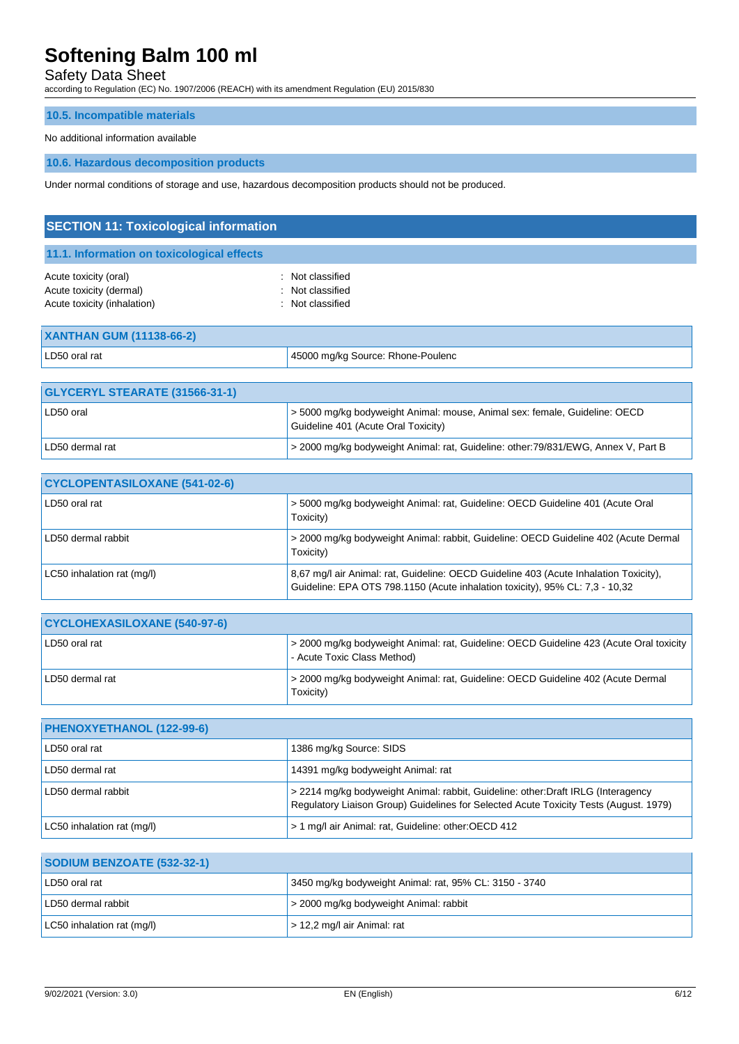# Safety Data Sheet

according to Regulation (EC) No. 1907/2006 (REACH) with its amendment Regulation (EU) 2015/830

### **10.5. Incompatible materials**

#### No additional information available

#### **10.6. Hazardous decomposition products**

Under normal conditions of storage and use, hazardous decomposition products should not be produced.

| <b>SECTION 11: Toxicological information</b>                                    |                                                              |  |
|---------------------------------------------------------------------------------|--------------------------------------------------------------|--|
| 11.1. Information on toxicological effects                                      |                                                              |  |
| Acute toxicity (oral)<br>Acute toxicity (dermal)<br>Acute toxicity (inhalation) | Not classified<br>÷.<br>: Not classified<br>: Not classified |  |
| <b>XANTHAN GUM (11138-66-2)</b>                                                 |                                                              |  |

| LD50 oral rat                    | 45000 mg/kg Source: Rhone-Poulenc |
|----------------------------------|-----------------------------------|
|                                  |                                   |
| $A$ VOEDVL CTEADATE (OAECO OA A) |                                   |

| <b>GLYCERYL STEARATE (31566-31-1)</b> |                                                                                                                   |
|---------------------------------------|-------------------------------------------------------------------------------------------------------------------|
| LD50 oral                             | > 5000 mg/kg bodyweight Animal: mouse, Animal sex: female, Guideline: OECD<br>Guideline 401 (Acute Oral Toxicity) |
| LD50 dermal rat                       | > 2000 mg/kg bodyweight Animal: rat, Guideline: other:79/831/EWG, Annex V, Part B                                 |

| <b>CYCLOPENTASILOXANE (541-02-6)</b> |                                                                                                                                                                       |
|--------------------------------------|-----------------------------------------------------------------------------------------------------------------------------------------------------------------------|
| LD50 oral rat                        | > 5000 mg/kg bodyweight Animal: rat, Guideline: OECD Guideline 401 (Acute Oral<br>Toxicity)                                                                           |
| LD50 dermal rabbit                   | > 2000 mg/kg bodyweight Animal: rabbit, Guideline: OECD Guideline 402 (Acute Dermal<br>Toxicity)                                                                      |
| LC50 inhalation rat (mg/l)           | 8,67 mg/l air Animal: rat, Guideline: OECD Guideline 403 (Acute Inhalation Toxicity),<br>Guideline: EPA OTS 798.1150 (Acute inhalation toxicity), 95% CL: 7,3 - 10,32 |

| <b>CYCLOHEXASILOXANE (540-97-6)</b> |                                                                                                                         |
|-------------------------------------|-------------------------------------------------------------------------------------------------------------------------|
| LD50 oral rat                       | -> 2000 mg/kg bodyweight Animal: rat, Guideline: OECD Guideline 423 (Acute Oral toxicity<br>- Acute Toxic Class Method) |
| LD50 dermal rat                     | > 2000 mg/kg bodyweight Animal: rat, Guideline: OECD Guideline 402 (Acute Dermal<br>Toxicity)                           |

| PHENOXYETHANOL (122-99-6)  |                                                                                                                                                                           |
|----------------------------|---------------------------------------------------------------------------------------------------------------------------------------------------------------------------|
| LD50 oral rat              | 1386 mg/kg Source: SIDS                                                                                                                                                   |
| LD50 dermal rat            | 14391 mg/kg bodyweight Animal: rat                                                                                                                                        |
| LD50 dermal rabbit         | > 2214 mg/kg bodyweight Animal: rabbit, Guideline: other:Draft IRLG (Interagency<br>Regulatory Liaison Group) Guidelines for Selected Acute Toxicity Tests (August, 1979) |
| LC50 inhalation rat (mg/l) | > 1 mg/l air Animal: rat, Guideline: other: OECD 412                                                                                                                      |

| SODIUM BENZOATE (532-32-1) |                                                        |
|----------------------------|--------------------------------------------------------|
| LD50 oral rat              | 3450 mg/kg bodyweight Animal: rat, 95% CL: 3150 - 3740 |
| LD50 dermal rabbit         | s 2000 mg/kg bodyweight Animal: rabbit                 |
| LC50 inhalation rat (mg/l) | $>$ 12,2 mg/l air Animal: rat                          |

**SODIUM BENZOATE (532-32-1)**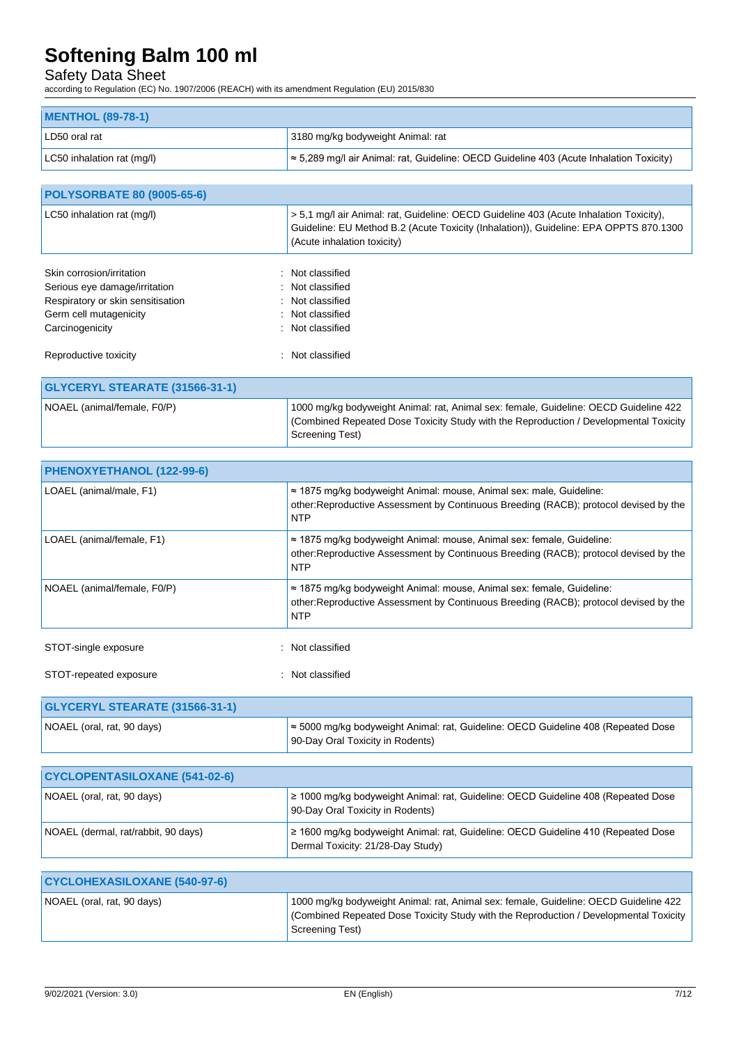## Safety Data Sheet

according to Regulation (EC) No. 1907/2006 (REACH) with its amendment Regulation (EU) 2015/830

| MENTHOL (89-78-1)          |                                                                                                 |
|----------------------------|-------------------------------------------------------------------------------------------------|
| LD50 oral rat              | 3180 mg/kg bodyweight Animal: rat                                                               |
| LC50 inhalation rat (mg/l) | $\approx$ 5,289 mg/l air Animal: rat, Guideline: OECD Guideline 403 (Acute Inhalation Toxicity) |

| <b>POLYSORBATE 80 (9005-65-6)</b>                                                                                                                         |                                                                                                                                                                                                                |
|-----------------------------------------------------------------------------------------------------------------------------------------------------------|----------------------------------------------------------------------------------------------------------------------------------------------------------------------------------------------------------------|
| LC50 inhalation rat (mg/l)                                                                                                                                | > 5.1 mg/l air Animal: rat, Guideline: OECD Guideline 403 (Acute Inhalation Toxicity),<br>Guideline: EU Method B.2 (Acute Toxicity (Inhalation)), Guideline: EPA OPPTS 870.1300<br>(Acute inhalation toxicity) |
| Skin corrosion/irritation<br>$\bullet$<br>Serious eye damage/irritation<br>Respiratory or skin sensitisation<br>Germ cell mutagenicity<br>Carcinogenicity | Not classified<br>: Not classified<br>: Not classified<br>Not classified<br>: Not classified                                                                                                                   |
| Reproductive toxicity                                                                                                                                     | Not classified                                                                                                                                                                                                 |
| <b>GLYCERYL STEARATE (31566-31-1)</b>                                                                                                                     |                                                                                                                                                                                                                |
|                                                                                                                                                           |                                                                                                                                                                                                                |

| NOAEL (animal/female, F0/P) | 1000 mg/kg bodyweight Animal: rat, Animal sex: female, Guideline: OECD Guideline 422<br>Combined Repeated Dose Toxicity Study with the Reproduction / Developmental Toxicity<br>Screening Test) |
|-----------------------------|-------------------------------------------------------------------------------------------------------------------------------------------------------------------------------------------------|

| PHENOXYETHANOL (122-99-6)             |                                                                                                                                                                                      |
|---------------------------------------|--------------------------------------------------------------------------------------------------------------------------------------------------------------------------------------|
| LOAEL (animal/male, F1)               | $\approx$ 1875 mg/kg bodyweight Animal: mouse, Animal sex: male, Guideline:<br>other: Reproductive Assessment by Continuous Breeding (RACB); protocol devised by the<br><b>NTP</b>   |
| LOAEL (animal/female, F1)             | $\approx$ 1875 mg/kg bodyweight Animal: mouse, Animal sex: female, Guideline:<br>other: Reproductive Assessment by Continuous Breeding (RACB); protocol devised by the<br><b>NTP</b> |
| NOAEL (animal/female, F0/P)           | $\approx$ 1875 mg/kg bodyweight Animal: mouse, Animal sex: female, Guideline:<br>other: Reproductive Assessment by Continuous Breeding (RACB); protocol devised by the<br><b>NTP</b> |
| STOT-single exposure                  | : Not classified                                                                                                                                                                     |
| STOT-repeated exposure                | : Not classified                                                                                                                                                                     |
| <b>GLYCERYL STEARATE (31566-31-1)</b> |                                                                                                                                                                                      |

| NOAEL (oral, rat, 90 days) | $\approx$ 5000 mg/kg bodyweight Animal: rat, Guideline: OECD Guideline 408 (Repeated Dose<br>90-Day Oral Toxicity in Rodents) |
|----------------------------|-------------------------------------------------------------------------------------------------------------------------------|
|                            |                                                                                                                               |

| <b>CYCLOPENTASILOXANE (541-02-6)</b> |                                                                                                                        |
|--------------------------------------|------------------------------------------------------------------------------------------------------------------------|
| NOAEL (oral, rat, 90 days)           | 2 1000 mg/kg bodyweight Animal: rat, Guideline: OECD Guideline 408 (Repeated Dose<br>90-Day Oral Toxicity in Rodents)  |
| NOAEL (dermal, rat/rabbit, 90 days)  | 2 1600 mg/kg bodyweight Animal: rat, Guideline: OECD Guideline 410 (Repeated Dose<br>Dermal Toxicity: 21/28-Day Study) |

| <b>CYCLOHEXASILOXANE (540-97-6)</b> |                                                                                                                                                                                                   |
|-------------------------------------|---------------------------------------------------------------------------------------------------------------------------------------------------------------------------------------------------|
| NOAEL (oral, rat, 90 days)          | 1000 mg/kg bodyweight Animal: rat, Animal sex: female, Guideline: OECD Guideline 422<br>Combined Repeated Dose Toxicity Study with the Reproduction / Developmental Toxicity  <br>Screening Test) |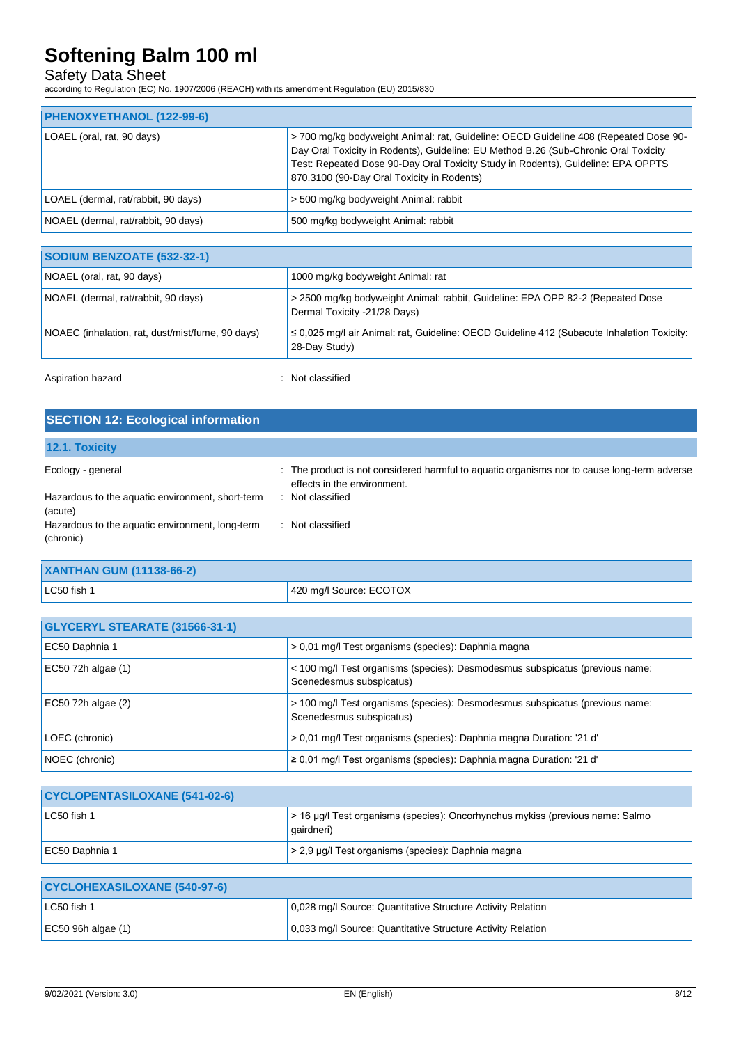### Safety Data Sheet

according to Regulation (EC) No. 1907/2006 (REACH) with its amendment Regulation (EU) 2015/830

| PHENOXYETHANOL (122-99-6)           |                                                                                                                                                                                                                                                                                                              |
|-------------------------------------|--------------------------------------------------------------------------------------------------------------------------------------------------------------------------------------------------------------------------------------------------------------------------------------------------------------|
| LOAEL (oral, rat, 90 days)          | >700 mg/kg bodyweight Animal: rat, Guideline: OECD Guideline 408 (Repeated Dose 90-<br>Day Oral Toxicity in Rodents), Guideline: EU Method B.26 (Sub-Chronic Oral Toxicity<br>Test: Repeated Dose 90-Day Oral Toxicity Study in Rodents), Guideline: EPA OPPTS<br>870.3100 (90-Day Oral Toxicity in Rodents) |
| LOAEL (dermal, rat/rabbit, 90 days) | > 500 mg/kg bodyweight Animal: rabbit                                                                                                                                                                                                                                                                        |
| NOAEL (dermal, rat/rabbit, 90 days) | 500 mg/kg bodyweight Animal: rabbit                                                                                                                                                                                                                                                                          |

| NOAEL (oral, rat, 90 days)                       | 1000 mg/kg bodyweight Animal: rat                                                                                |
|--------------------------------------------------|------------------------------------------------------------------------------------------------------------------|
| NOAEL (dermal, rat/rabbit, 90 days)              | > 2500 mg/kg bodyweight Animal: rabbit, Guideline: EPA OPP 82-2 (Repeated Dose<br>Dermal Toxicity -21/28 Days)   |
| NOAEC (inhalation, rat, dust/mist/fume, 90 days) | $\leq$ 0.025 mg/l air Animal: rat. Guideline: OECD Guideline 412 (Subacute Inhalation Toxicity:<br>28-Day Study) |

Aspiration hazard is a set of the set of the set of the set of the set of the set of the set of the set of the set of the set of the set of the set of the set of the set of the set of the set of the set of the set of the s

| <b>SECTION 12: Ecological information</b>                    |                                                                                                                            |
|--------------------------------------------------------------|----------------------------------------------------------------------------------------------------------------------------|
| 12.1. Toxicity                                               |                                                                                                                            |
| Ecology - general                                            | : The product is not considered harmful to aquatic organisms nor to cause long-term adverse<br>effects in the environment. |
| Hazardous to the aquatic environment, short-term<br>(acute)  | : Not classified                                                                                                           |
| Hazardous to the aquatic environment, long-term<br>(chronic) | Not classified<br>$\sim$                                                                                                   |

| <b>XANTHAN GUM (11138-66-2)</b> |                         |
|---------------------------------|-------------------------|
| LC50 fish 1                     | 420 mg/l Source: ECOTOX |

| <b>GLYCERYL STEARATE (31566-31-1)</b> |                                                                                                          |
|---------------------------------------|----------------------------------------------------------------------------------------------------------|
| EC50 Daphnia 1                        | > 0,01 mg/l Test organisms (species): Daphnia magna                                                      |
| EC50 72h algae (1)                    | < 100 mg/l Test organisms (species): Desmodesmus subspicatus (previous name:<br>Scenedesmus subspicatus) |
| EC50 72h algae (2)                    | > 100 mg/l Test organisms (species): Desmodesmus subspicatus (previous name:<br>Scenedesmus subspicatus) |
| LOEC (chronic)                        | > 0,01 mg/l Test organisms (species): Daphnia magna Duration: '21 d'                                     |
| NOEC (chronic)                        | $\geq$ 0.01 mg/l Test organisms (species): Daphnia magna Duration: '21 d'                                |
|                                       |                                                                                                          |

| <b>CYCLOPENTASILOXANE (541-02-6)</b> |                                                                                             |
|--------------------------------------|---------------------------------------------------------------------------------------------|
| LC50 fish 1                          | > 16 µg/l Test organisms (species): Oncorhynchus mykiss (previous name: Salmo<br>qairdneri) |
| EC50 Daphnia 1                       | $>$ 2,9 µg/l Test organisms (species): Daphnia magna                                        |

| <b>CYCLOHEXASILOXANE (540-97-6)</b> |                                                             |
|-------------------------------------|-------------------------------------------------------------|
| LC50 fish 1                         | 0,028 mg/l Source: Quantitative Structure Activity Relation |
| $\vert$ EC50 96h algae (1)          | 0,033 mg/l Source: Quantitative Structure Activity Relation |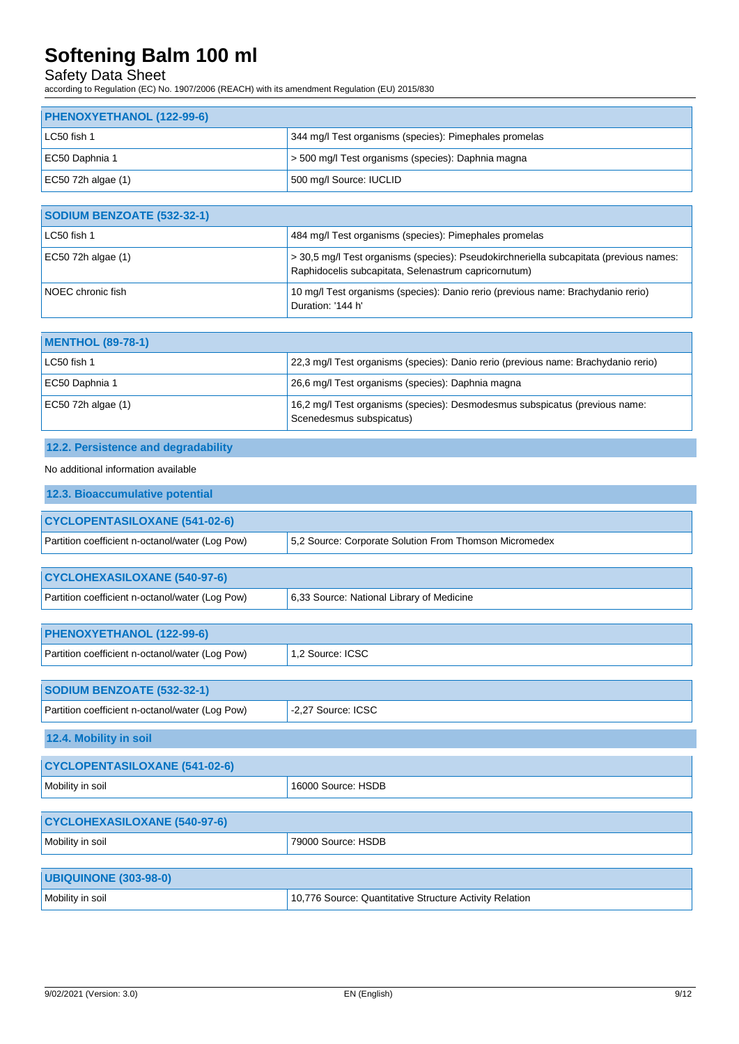# Safety Data Sheet

according to Regulation (EC) No. 1907/2006 (REACH) with its amendment Regulation (EU) 2015/830

| PHENOXYETHANOL (122-99-6) |                                                        |
|---------------------------|--------------------------------------------------------|
| LC50 fish 1               | 344 mg/l Test organisms (species): Pimephales promelas |
| EC50 Daphnia 1            | > 500 mg/l Test organisms (species): Daphnia magna     |
| EC50 72h algae $(1)$      | 500 mg/l Source: IUCLID                                |

| <b>SODIUM BENZOATE (532-32-1)</b> |                                                                                                                                                |
|-----------------------------------|------------------------------------------------------------------------------------------------------------------------------------------------|
| LC50 fish 1                       | 484 mg/l Test organisms (species): Pimephales promelas                                                                                         |
| EC50 72h algae $(1)$              | > 30,5 mg/l Test organisms (species): Pseudokirchneriella subcapitata (previous names:<br>Raphidocelis subcapitata, Selenastrum capricornutum) |
| NOEC chronic fish                 | 10 mg/l Test organisms (species): Danio rerio (previous name: Brachydanio rerio)<br>Duration: '144 h'                                          |

| <b>MENTHOL (89-78-1)</b> |                                                                                                         |
|--------------------------|---------------------------------------------------------------------------------------------------------|
| LC50 fish 1              | 22,3 mg/l Test organisms (species): Danio rerio (previous name: Brachydanio rerio)                      |
| EC50 Daphnia 1           | 26,6 mg/l Test organisms (species): Daphnia magna                                                       |
| EC50 72h algae (1)       | 16,2 mg/l Test organisms (species): Desmodesmus subspicatus (previous name:<br>Scenedesmus subspicatus) |

# **12.2. Persistence and degradability**

### No additional information available

| 12.3. Bioaccumulative potential                 |                                                        |
|-------------------------------------------------|--------------------------------------------------------|
| <b>CYCLOPENTASILOXANE (541-02-6)</b>            |                                                        |
| Partition coefficient n-octanol/water (Log Pow) | 5.2 Source: Corporate Solution From Thomson Micromedex |
|                                                 |                                                        |
| <b>CYCLOHEXASILOXANE (540-97-6)</b>             |                                                        |
| Partition coefficient n-octanol/water (Log Pow) | 6.33 Source: National Library of Medicine              |

| PHENOXYETHANOL (122-99-6)                       |                    |
|-------------------------------------------------|--------------------|
| Partition coefficient n-octanol/water (Log Pow) | 1.2 Source: ICSC   |
|                                                 |                    |
| <b>SODIUM BENZOATE (532-32-1)</b>               |                    |
| Partition coefficient n-octanol/water (Log Pow) | -2.27 Source: ICSC |
| 12.4. Mobility in soil                          |                    |
|                                                 |                    |

| <b>CYCLOPENTASILOXANE (541-02-6)</b> |                                 |
|--------------------------------------|---------------------------------|
| Mobility in soil                     | <sup>1</sup> 16000 Source: HSDB |

| <b>CYCLOHEXASILOXANE (540-97-6)</b> |                    |
|-------------------------------------|--------------------|
| Mobility in soil                    | 79000 Source: HSDB |
|                                     |                    |
| <b>UBIQUINONE (303-98-0)</b>        |                    |

Mobility in soil 10,776 Source: Quantitative Structure Activity Relation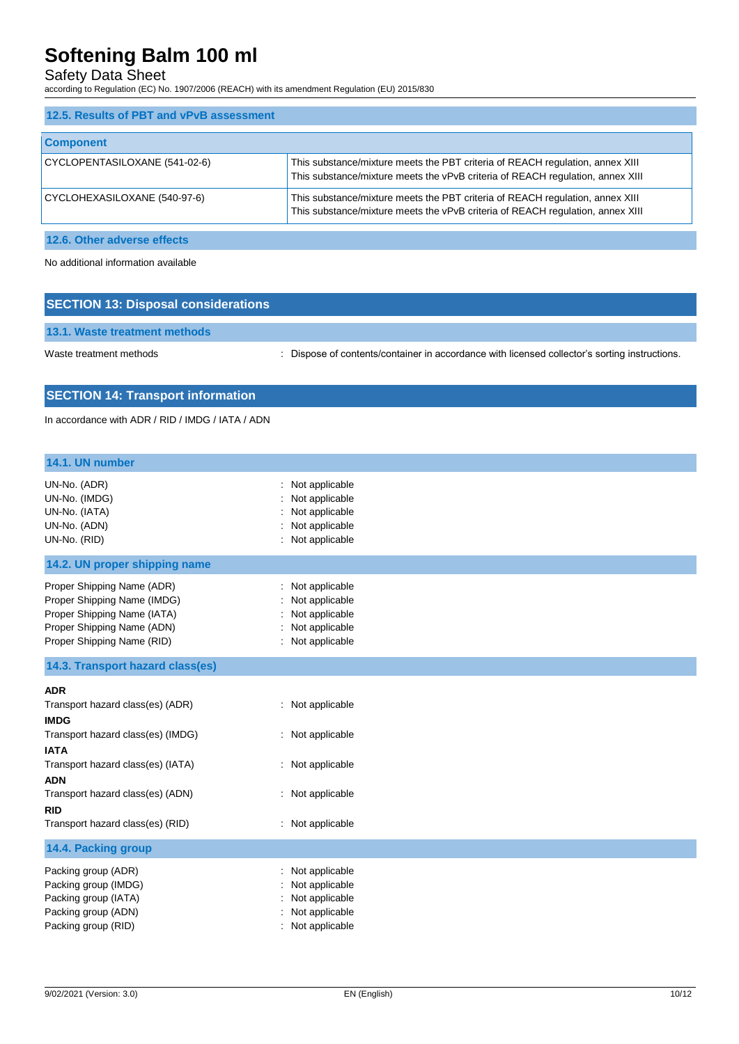## Safety Data Sheet

according to Regulation (EC) No. 1907/2006 (REACH) with its amendment Regulation (EU) 2015/830

| 12.5. Results of PBT and vPvB assessment |                                                                                                                                                                 |
|------------------------------------------|-----------------------------------------------------------------------------------------------------------------------------------------------------------------|
| <b>Component</b>                         |                                                                                                                                                                 |
| CYCLOPENTASILOXANE (541-02-6)            | This substance/mixture meets the PBT criteria of REACH regulation, annex XIII<br>This substance/mixture meets the vPvB criteria of REACH regulation, annex XIII |
| CYCLOHEXASILOXANE (540-97-6)             | This substance/mixture meets the PBT criteria of REACH regulation, annex XIII<br>This substance/mixture meets the vPvB criteria of REACH regulation, annex XIII |

**12.6. Other adverse effects**

No additional information available

| <b>SECTION 13: Disposal considerations</b> |                                                                                               |  |
|--------------------------------------------|-----------------------------------------------------------------------------------------------|--|
| 13.1. Waste treatment methods              |                                                                                               |  |
| Waste treatment methods                    | : Dispose of contents/container in accordance with licensed collector's sorting instructions. |  |

# **SECTION 14: Transport information**

In accordance with ADR / RID / IMDG / IATA / ADN

| 14.1. UN number                                                                                                                                                                                                                                            |                                                                                                  |
|------------------------------------------------------------------------------------------------------------------------------------------------------------------------------------------------------------------------------------------------------------|--------------------------------------------------------------------------------------------------|
| UN-No. (ADR)<br>UN-No. (IMDG)<br>UN-No. (IATA)<br>UN-No. (ADN)<br>UN-No. (RID)                                                                                                                                                                             | Not applicable<br>Not applicable<br>Not applicable<br>Not applicable<br>Not applicable           |
| 14.2. UN proper shipping name                                                                                                                                                                                                                              |                                                                                                  |
| Proper Shipping Name (ADR)<br>Proper Shipping Name (IMDG)<br>Proper Shipping Name (IATA)<br>Proper Shipping Name (ADN)<br>Proper Shipping Name (RID)                                                                                                       | Not applicable<br>Not applicable<br>Not applicable<br>Not applicable<br>: Not applicable         |
| 14.3. Transport hazard class(es)                                                                                                                                                                                                                           |                                                                                                  |
| <b>ADR</b><br>Transport hazard class(es) (ADR)<br><b>IMDG</b><br>Transport hazard class(es) (IMDG)<br><b>IATA</b><br>Transport hazard class(es) (IATA)<br><b>ADN</b><br>Transport hazard class(es) (ADN)<br><b>RID</b><br>Transport hazard class(es) (RID) | : Not applicable<br>: Not applicable<br>: Not applicable<br>: Not applicable<br>: Not applicable |
| 14.4. Packing group                                                                                                                                                                                                                                        |                                                                                                  |
| Packing group (ADR)<br>Packing group (IMDG)<br>Packing group (IATA)<br>Packing group (ADN)<br>Packing group (RID)                                                                                                                                          | Not applicable<br>Not applicable<br>Not applicable<br>Not applicable<br>Not applicable           |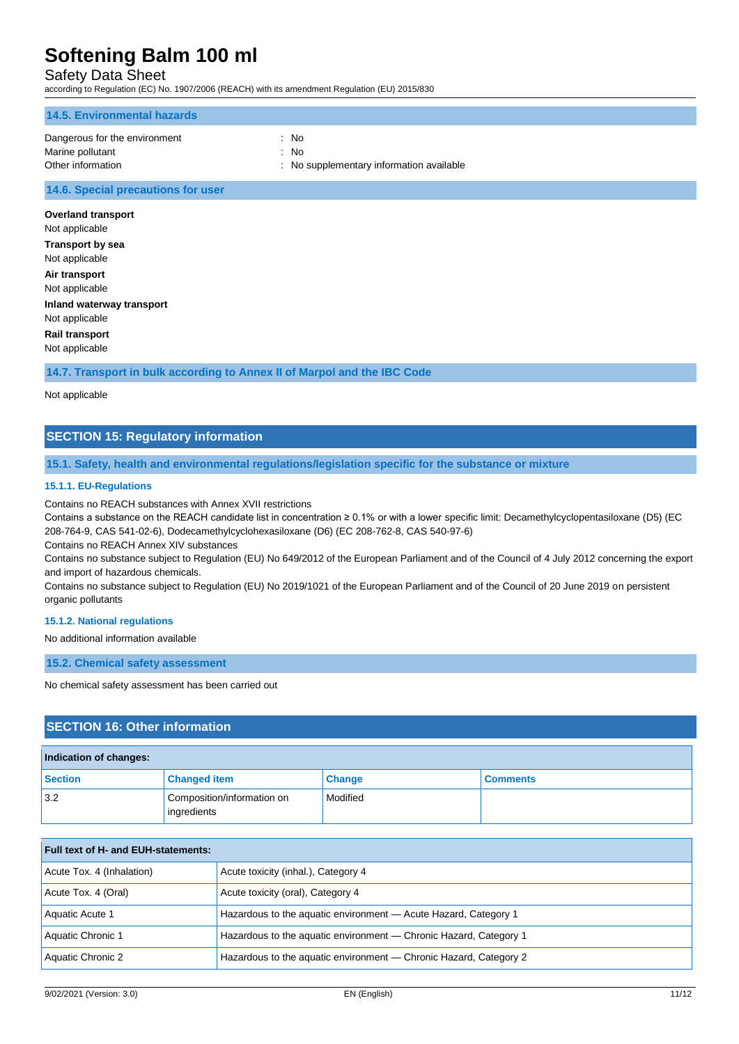### Safety Data Sheet

according to Regulation (EC) No. 1907/2006 (REACH) with its amendment Regulation (EU) 2015/830

| 14.5. Environmental hazards   |                                          |
|-------------------------------|------------------------------------------|
| Dangerous for the environment | : No                                     |
| Marine pollutant              | : No                                     |
| Other information             | : No supplementary information available |
|                               |                                          |

#### **14.6. Special precautions for user**

**Overland transport** Not applicable **Transport by sea** Not applicable **Air transport** Not applicable **Inland waterway transport** Not applicable **Rail transport** Not applicable

**14.7. Transport in bulk according to Annex II of Marpol and the IBC Code**

#### Not applicable

### **SECTION 15: Regulatory information**

#### **15.1. Safety, health and environmental regulations/legislation specific for the substance or mixture**

#### **15.1.1. EU-Regulations**

Contains no REACH substances with Annex XVII restrictions

Contains a substance on the REACH candidate list in concentration ≥ 0.1% or with a lower specific limit: Decamethylcyclopentasiloxane (D5) (EC 208-764-9, CAS 541-02-6), Dodecamethylcyclohexasiloxane (D6) (EC 208-762-8, CAS 540-97-6)

Contains no REACH Annex XIV substances

Contains no substance subject to Regulation (EU) No 649/2012 of the European Parliament and of the Council of 4 July 2012 concerning the export and import of hazardous chemicals.

Contains no substance subject to Regulation (EU) No 2019/1021 of the European Parliament and of the Council of 20 June 2019 on persistent organic pollutants

#### **15.1.2. National regulations**

No additional information available

**15.2. Chemical safety assessment**

No chemical safety assessment has been carried out

### **SECTION 16: Other information**

| Indication of changes: |                                           |               |                 |
|------------------------|-------------------------------------------|---------------|-----------------|
| <b>Section</b>         | <b>Changed item</b>                       | <b>Change</b> | <b>Comments</b> |
| 3.2                    | Composition/information on<br>ingredients | Modified      |                 |

| <b>Full text of H- and EUH-statements:</b> |                                                                   |  |
|--------------------------------------------|-------------------------------------------------------------------|--|
| Acute Tox. 4 (Inhalation)                  | Acute toxicity (inhal.), Category 4                               |  |
| Acute Tox. 4 (Oral)                        | Acute toxicity (oral), Category 4                                 |  |
| Aquatic Acute 1                            | Hazardous to the aquatic environment - Acute Hazard, Category 1   |  |
| Aquatic Chronic 1                          | Hazardous to the aquatic environment - Chronic Hazard, Category 1 |  |
| Aquatic Chronic 2                          | Hazardous to the aquatic environment — Chronic Hazard, Category 2 |  |